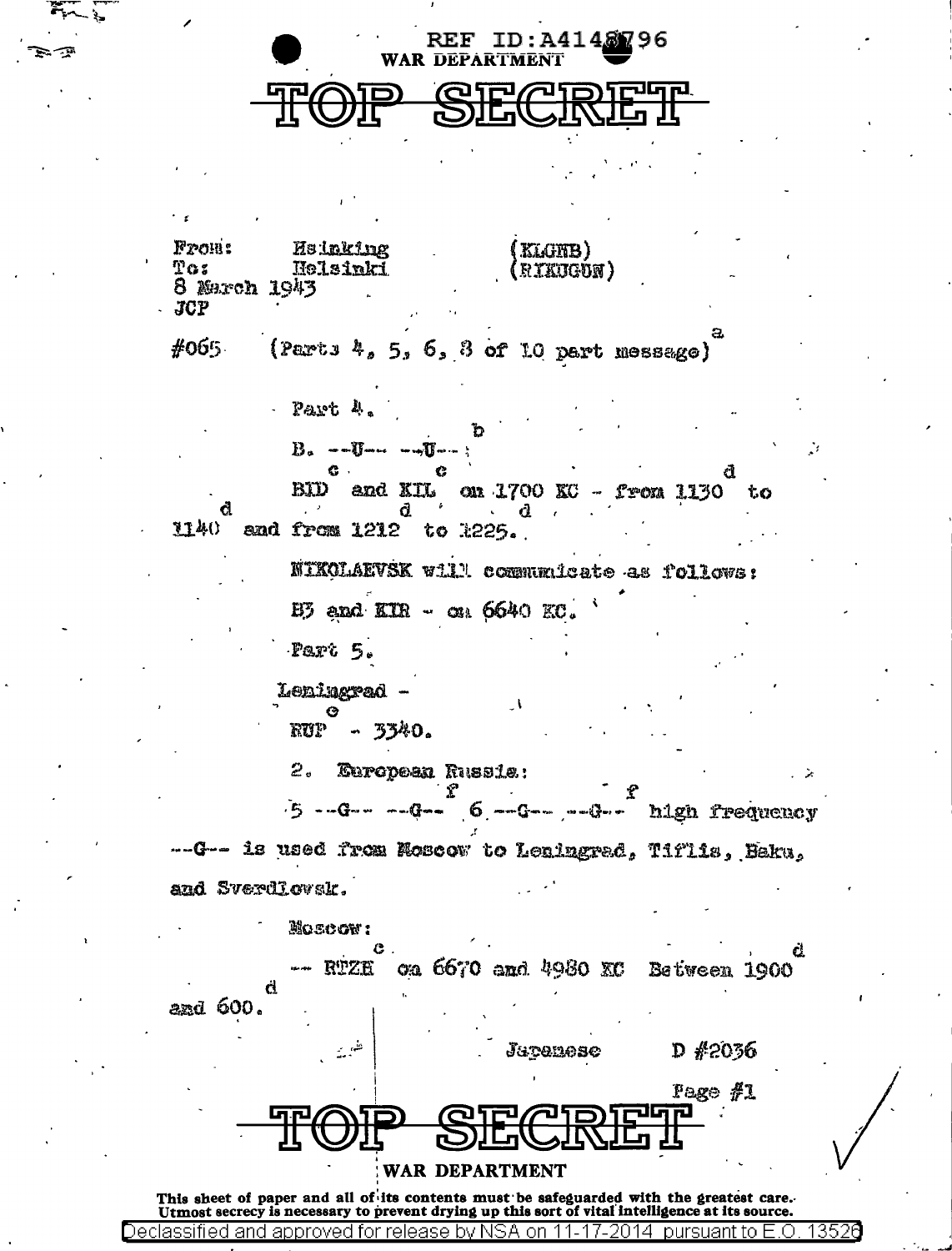| ID:A4148296<br>$\mathbf{REF}$<br><b>WAR DEPARTMENT</b>                                                    |      |
|-----------------------------------------------------------------------------------------------------------|------|
|                                                                                                           |      |
|                                                                                                           |      |
|                                                                                                           |      |
|                                                                                                           |      |
| Fron:<br><b>He inking</b><br>(KLGNB)<br>T03<br>Helsinki<br>RIKUGUN)<br>8 March 1943<br>JCP                |      |
| #065<br>(Parts $4, 5, 6, 8$ of 10 part message)                                                           |      |
| - Part 4.                                                                                                 |      |
| $B_{\sigma}$ --U-- --U--;                                                                                 |      |
| G.,<br>G<br>đ<br>BID and KIL on 1700 KC - from 1130<br>もの<br>$-6$<br>d.<br>a<br>- d                       |      |
| $1140$ and from $1212$ to $225.$                                                                          |      |
| NIKOLAEVSK Will communicate as follows:                                                                   |      |
| $E5$ and $ETR - \alpha_1 6640 EC$ .                                                                       |      |
| Part 5.                                                                                                   |      |
| Leningrad<br>◶<br>$RUP - 3340.$                                                                           |      |
| 2.<br>European Russis:                                                                                    |      |
| $-5$ --G-- --G-- $6$ --G-- --G-- hlgh frequency                                                           | - 25 |
|                                                                                                           |      |
| ---G-- is used from Moscow to Leningrad, Tiflis, Baku,                                                    |      |
| and Sverdlovak.                                                                                           |      |
| MOSCOW:                                                                                                   | Ċ.   |
| on 6670 and 4980 XC Between 1900<br>RTZE<br>đ<br>and 600.                                                 |      |
| $D$ #2036<br>Japanese                                                                                     |      |
| Page #1                                                                                                   |      |
| пJ                                                                                                        |      |
| WAR DEPARTMENT<br>This sheet of paper and all of its contents must be safeguarded with the greatest care. |      |

Declassified and approved for release by NSA on 11-17-2014 pursuant to E.O. 13526